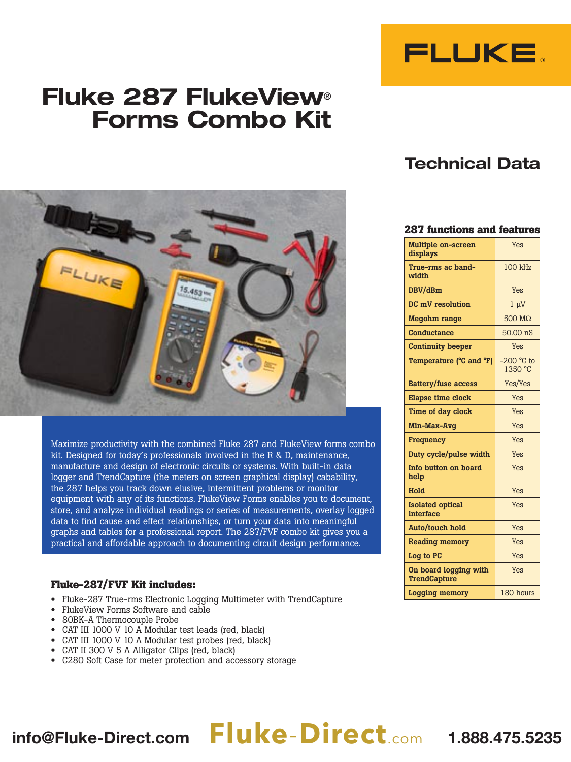

## **Fluke 287 FlukeView**® **Forms Combo Kit**



Maximize productivity with the combined Fluke 287 and FlukeView forms combo kit. Designed for today's professionals involved in the R & D, maintenance, manufacture and design of electronic circuits or systems. With built-in data logger and TrendCapture (the meters on screen graphical display) cabability, the 287 helps you track down elusive, intermittent problems or monitor equipment with any of its functions. FlukeView Forms enables you to document, store, and analyze individual readings or series of measurements, overlay logged data to find cause and effect relationships, or turn your data into meaningful graphs and tables for a professional report. The 287/FVF combo kit gives you a practical and affordable approach to documenting circuit design performance.

### **Fluke-287/FVF Kit includes:**

- Fluke-287 True-rms Electronic Logging Multimeter with TrendCapture
- FlukeView Forms Software and cable
- 80BK-A Thermocouple Probe
- CAT III 1000 V 10 A Modular test leads (red, black)
- CAT III 1000 V 10 A Modular test probes (red, black)
- CAT II 300 V 5 A Alligator Clips (red, black)
- C280 Soft Case for meter protection and accessory storage

## **Technical Data**

## **287 functions and features**

| Multiple on-screen<br>displays               | Yes                     |
|----------------------------------------------|-------------------------|
| True-rms ac band-<br>width                   | 100 kHz                 |
| DBV/dBm                                      | Yes                     |
| DC mV resolution                             | $1 \mu V$               |
| <b>Megohm</b> range                          | $500 \text{ M}\Omega$   |
| Conductance                                  | 50.00 nS                |
| <b>Continuity beeper</b>                     | Yes                     |
| Temperature (°C and °F)                      | $-200$ °C to<br>1350 °C |
| <b>Battery/fuse access</b>                   | Yes/Yes                 |
| <b>Elapse time clock</b>                     | Yes                     |
| Time of day clock                            | Yes                     |
| Min-Max-Avg                                  | Yes                     |
| <b>Frequency</b>                             | Yes                     |
| Duty cycle/pulse width                       | <b>Yes</b>              |
| Info button on board<br>help                 | Yes                     |
| Hold                                         | <b>Yes</b>              |
| <b>Isolated optical</b><br>interface         | Yes                     |
| Auto/touch hold                              | Yes                     |
| <b>Reading memory</b>                        | Yes                     |
| Log to PC                                    | <b>Yes</b>              |
| On board logging with<br><b>TrendCapture</b> | Yes                     |
| <b>Logging memory</b>                        | 180 hours               |

# info@Fluke-Direct.com **Fluke**-**Direct**.com 1.888.475.5235